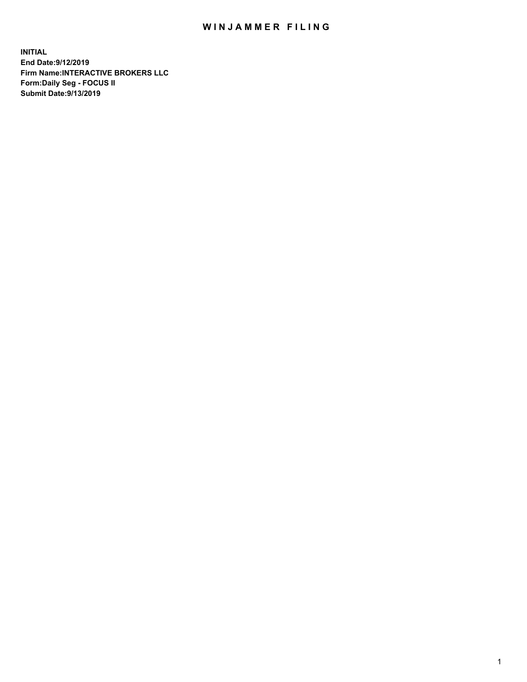## WIN JAMMER FILING

**INITIAL End Date:9/12/2019 Firm Name:INTERACTIVE BROKERS LLC Form:Daily Seg - FOCUS II Submit Date:9/13/2019**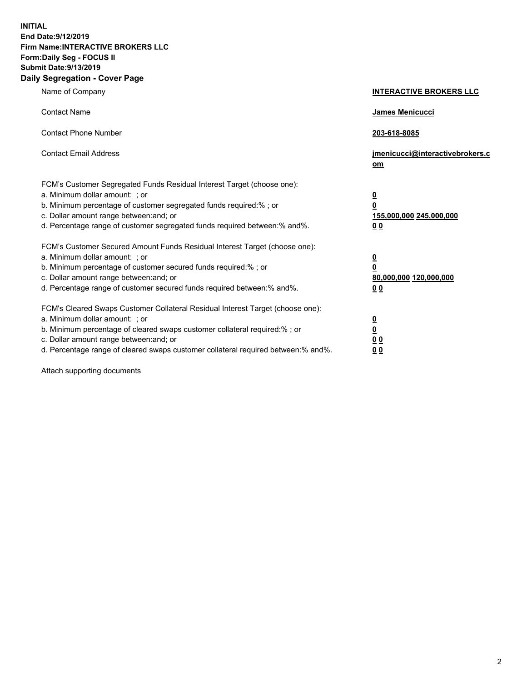**INITIAL End Date:9/12/2019 Firm Name:INTERACTIVE BROKERS LLC Form:Daily Seg - FOCUS II Submit Date:9/13/2019 Daily Segregation - Cover Page**

| Name of Company                                                                                                                                                                                                                                                                                                                | <b>INTERACTIVE BROKERS LLC</b>                                                                  |
|--------------------------------------------------------------------------------------------------------------------------------------------------------------------------------------------------------------------------------------------------------------------------------------------------------------------------------|-------------------------------------------------------------------------------------------------|
| <b>Contact Name</b>                                                                                                                                                                                                                                                                                                            | James Menicucci                                                                                 |
| <b>Contact Phone Number</b>                                                                                                                                                                                                                                                                                                    | 203-618-8085                                                                                    |
| <b>Contact Email Address</b>                                                                                                                                                                                                                                                                                                   | jmenicucci@interactivebrokers.c<br>om                                                           |
| FCM's Customer Segregated Funds Residual Interest Target (choose one):<br>a. Minimum dollar amount: ; or<br>b. Minimum percentage of customer segregated funds required:% ; or<br>c. Dollar amount range between: and; or<br>d. Percentage range of customer segregated funds required between:% and%.                         | $\overline{\mathbf{0}}$<br>$\overline{\mathbf{0}}$<br>155,000,000 245,000,000<br>0 <sub>0</sub> |
| FCM's Customer Secured Amount Funds Residual Interest Target (choose one):<br>a. Minimum dollar amount: ; or<br>b. Minimum percentage of customer secured funds required:% ; or<br>c. Dollar amount range between: and; or<br>d. Percentage range of customer secured funds required between:% and%.                           | $\overline{\mathbf{0}}$<br>0<br>80,000,000 120,000,000<br>0 <sub>0</sub>                        |
| FCM's Cleared Swaps Customer Collateral Residual Interest Target (choose one):<br>a. Minimum dollar amount: ; or<br>b. Minimum percentage of cleared swaps customer collateral required:% ; or<br>c. Dollar amount range between: and; or<br>d. Percentage range of cleared swaps customer collateral required between:% and%. | $\overline{\mathbf{0}}$<br><u>0</u><br>$\underline{0}$ $\underline{0}$<br>00                    |

Attach supporting documents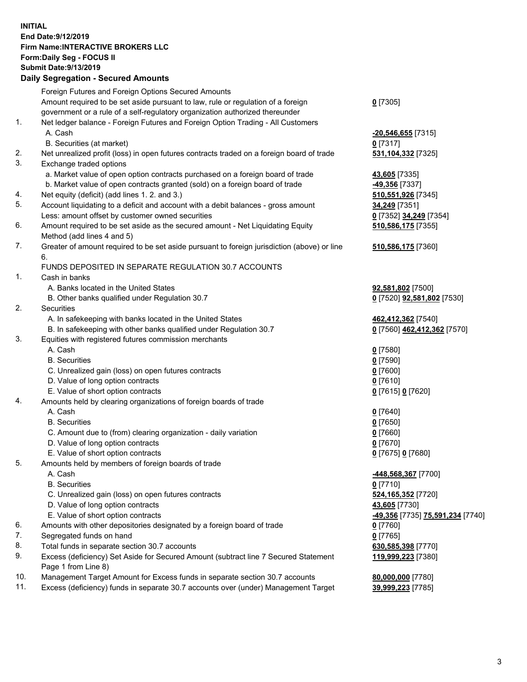## **INITIAL End Date:9/12/2019 Firm Name:INTERACTIVE BROKERS LLC Form:Daily Seg - FOCUS II Submit Date:9/13/2019 Daily Segregation - Secured Amounts**

|     | Daily Segregation - Secured Amounts                                                         |                                                            |
|-----|---------------------------------------------------------------------------------------------|------------------------------------------------------------|
|     | Foreign Futures and Foreign Options Secured Amounts                                         |                                                            |
|     | Amount required to be set aside pursuant to law, rule or regulation of a foreign            | $0$ [7305]                                                 |
|     | government or a rule of a self-regulatory organization authorized thereunder                |                                                            |
| 1.  | Net ledger balance - Foreign Futures and Foreign Option Trading - All Customers             |                                                            |
|     | A. Cash                                                                                     | -20,546,655 [7315]                                         |
|     | B. Securities (at market)                                                                   | $0$ [7317]                                                 |
| 2.  | Net unrealized profit (loss) in open futures contracts traded on a foreign board of trade   | 531, 104, 332 [7325]                                       |
| 3.  | Exchange traded options                                                                     |                                                            |
|     | a. Market value of open option contracts purchased on a foreign board of trade              | 43,605 [7335]                                              |
|     | b. Market value of open contracts granted (sold) on a foreign board of trade                | -49,356 [7337]                                             |
| 4.  | Net equity (deficit) (add lines 1. 2. and 3.)                                               | 510,551,926 [7345]                                         |
| 5.  | Account liquidating to a deficit and account with a debit balances - gross amount           | 34,249 [7351]                                              |
|     | Less: amount offset by customer owned securities                                            | 0 [7352] 34,249 [7354]                                     |
| 6.  | Amount required to be set aside as the secured amount - Net Liquidating Equity              | 510,586,175 [7355]                                         |
|     | Method (add lines 4 and 5)                                                                  |                                                            |
| 7.  | Greater of amount required to be set aside pursuant to foreign jurisdiction (above) or line | 510,586,175 [7360]                                         |
|     | 6.                                                                                          |                                                            |
|     | FUNDS DEPOSITED IN SEPARATE REGULATION 30.7 ACCOUNTS                                        |                                                            |
| 1.  | Cash in banks                                                                               |                                                            |
|     | A. Banks located in the United States                                                       | 92,581,802 [7500]                                          |
|     | B. Other banks qualified under Regulation 30.7                                              | 0 [7520] 92,581,802 [7530]                                 |
| 2.  | Securities                                                                                  |                                                            |
|     | A. In safekeeping with banks located in the United States                                   | 462,412,362 [7540]                                         |
| 3.  | B. In safekeeping with other banks qualified under Regulation 30.7                          | 0 [7560] 462,412,362 [7570]                                |
|     | Equities with registered futures commission merchants<br>A. Cash                            |                                                            |
|     | <b>B.</b> Securities                                                                        | $0$ [7580]                                                 |
|     |                                                                                             | $0$ [7590]                                                 |
|     | C. Unrealized gain (loss) on open futures contracts<br>D. Value of long option contracts    | $0$ [7600]<br>$0$ [7610]                                   |
|     | E. Value of short option contracts                                                          | 0 [7615] 0 [7620]                                          |
| 4.  | Amounts held by clearing organizations of foreign boards of trade                           |                                                            |
|     | A. Cash                                                                                     | $0$ [7640]                                                 |
|     | <b>B.</b> Securities                                                                        | $0$ [7650]                                                 |
|     | C. Amount due to (from) clearing organization - daily variation                             | $0$ [7660]                                                 |
|     | D. Value of long option contracts                                                           | $0$ [7670]                                                 |
|     | E. Value of short option contracts                                                          | 0 [7675] 0 [7680]                                          |
| 5.  | Amounts held by members of foreign boards of trade                                          |                                                            |
|     | A. Cash                                                                                     | 448,568,367 [7700]                                         |
|     | <b>B.</b> Securities                                                                        | $0$ [7710]                                                 |
|     | C. Unrealized gain (loss) on open futures contracts                                         | 524, 165, 352 [7720]                                       |
|     | D. Value of long option contracts                                                           | 43,605 [7730]                                              |
|     | E. Value of short option contracts                                                          | <mark>-49,356</mark> [7735] <mark>75,591,234</mark> [7740] |
| 6.  | Amounts with other depositories designated by a foreign board of trade                      | $0$ [7760]                                                 |
| 7.  | Segregated funds on hand                                                                    | $0$ [7765]                                                 |
| 8.  | Total funds in separate section 30.7 accounts                                               | 630, 585, 398 [7770]                                       |
| 9.  | Excess (deficiency) Set Aside for Secured Amount (subtract line 7 Secured Statement         | 119,999,223 [7380]                                         |
|     | Page 1 from Line 8)                                                                         |                                                            |
| 10. | Management Target Amount for Excess funds in separate section 30.7 accounts                 | 80,000,000 [7780]                                          |
| 11. | Excess (deficiency) funds in separate 30.7 accounts over (under) Management Target          | 39,999,223 [7785]                                          |
|     |                                                                                             |                                                            |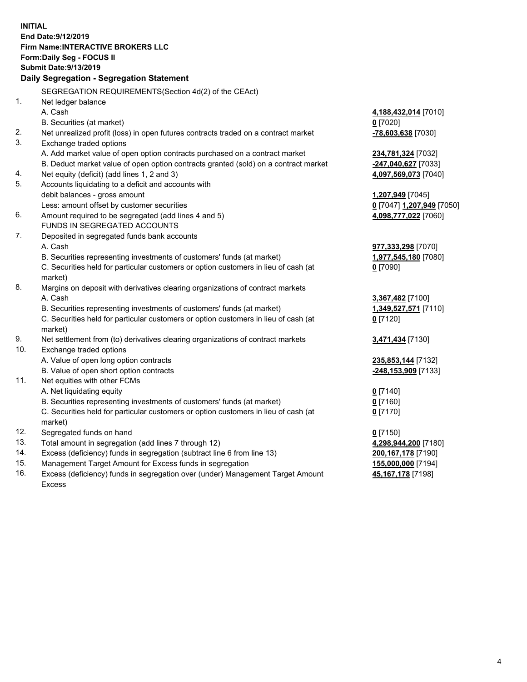**INITIAL End Date:9/12/2019 Firm Name:INTERACTIVE BROKERS LLC Form:Daily Seg - FOCUS II Submit Date:9/13/2019 Daily Segregation - Segregation Statement** SEGREGATION REQUIREMENTS(Section 4d(2) of the CEAct) 1. Net ledger balance A. Cash **4,188,432,014** [7010] B. Securities (at market) **0** [7020] 2. Net unrealized profit (loss) in open futures contracts traded on a contract market **-78,603,638** [7030] 3. Exchange traded options A. Add market value of open option contracts purchased on a contract market **234,781,324** [7032] B. Deduct market value of open option contracts granted (sold) on a contract market **-247,040,627** [7033] 4. Net equity (deficit) (add lines 1, 2 and 3) **4,097,569,073** [7040] 5. Accounts liquidating to a deficit and accounts with debit balances - gross amount **1,207,949** [7045] Less: amount offset by customer securities **0** [7047] **1,207,949** [7050] 6. Amount required to be segregated (add lines 4 and 5) **4,098,777,022** [7060] FUNDS IN SEGREGATED ACCOUNTS 7. Deposited in segregated funds bank accounts A. Cash **977,333,298** [7070] B. Securities representing investments of customers' funds (at market) **1,977,545,180** [7080] C. Securities held for particular customers or option customers in lieu of cash (at market) **0** [7090] 8. Margins on deposit with derivatives clearing organizations of contract markets A. Cash **3,367,482** [7100] B. Securities representing investments of customers' funds (at market) **1,349,527,571** [7110] C. Securities held for particular customers or option customers in lieu of cash (at market) **0** [7120] 9. Net settlement from (to) derivatives clearing organizations of contract markets **3,471,434** [7130] 10. Exchange traded options A. Value of open long option contracts **235,853,144** [7132] B. Value of open short option contracts **-248,153,909** [7133] 11. Net equities with other FCMs A. Net liquidating equity **0** [7140] B. Securities representing investments of customers' funds (at market) **0** [7160] C. Securities held for particular customers or option customers in lieu of cash (at market) **0** [7170] 12. Segregated funds on hand **0** [7150] 13. Total amount in segregation (add lines 7 through 12) **4,298,944,200** [7180] 14. Excess (deficiency) funds in segregation (subtract line 6 from line 13) **200,167,178** [7190] 15. Management Target Amount for Excess funds in segregation **155,000,000** [7194] **45,167,178** [7198]

16. Excess (deficiency) funds in segregation over (under) Management Target Amount Excess